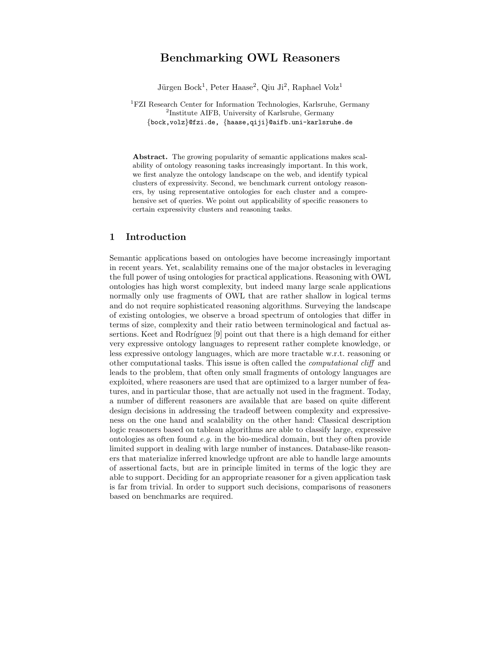# Benchmarking OWL Reasoners

Jürgen Bock<sup>1</sup>, Peter Haase<sup>2</sup>, Qiu Ji<sup>2</sup>, Raphael Volz<sup>1</sup>

<sup>1</sup>FZI Research Center for Information Technologies, Karlsruhe, Germany 2 Institute AIFB, University of Karlsruhe, Germany {bock,volz}@fzi.de, {haase,qiji}@aifb.uni-karlsruhe.de

Abstract. The growing popularity of semantic applications makes scalability of ontology reasoning tasks increasingly important. In this work, we first analyze the ontology landscape on the web, and identify typical clusters of expressivity. Second, we benchmark current ontology reasoners, by using representative ontologies for each cluster and a comprehensive set of queries. We point out applicability of specific reasoners to certain expressivity clusters and reasoning tasks.

## 1 Introduction

Semantic applications based on ontologies have become increasingly important in recent years. Yet, scalability remains one of the major obstacles in leveraging the full power of using ontologies for practical applications. Reasoning with OWL ontologies has high worst complexity, but indeed many large scale applications normally only use fragments of OWL that are rather shallow in logical terms and do not require sophisticated reasoning algorithms. Surveying the landscape of existing ontologies, we observe a broad spectrum of ontologies that differ in terms of size, complexity and their ratio between terminological and factual assertions. Keet and Rodríguez  $[9]$  point out that there is a high demand for either very expressive ontology languages to represent rather complete knowledge, or less expressive ontology languages, which are more tractable w.r.t. reasoning or other computational tasks. This issue is often called the computational cliff and leads to the problem, that often only small fragments of ontology languages are exploited, where reasoners are used that are optimized to a larger number of features, and in particular those, that are actually not used in the fragment. Today, a number of different reasoners are available that are based on quite different design decisions in addressing the tradeoff between complexity and expressiveness on the one hand and scalability on the other hand: Classical description logic reasoners based on tableau algorithms are able to classify large, expressive ontologies as often found e.g. in the bio-medical domain, but they often provide limited support in dealing with large number of instances. Database-like reasoners that materialize inferred knowledge upfront are able to handle large amounts of assertional facts, but are in principle limited in terms of the logic they are able to support. Deciding for an appropriate reasoner for a given application task is far from trivial. In order to support such decisions, comparisons of reasoners based on benchmarks are required.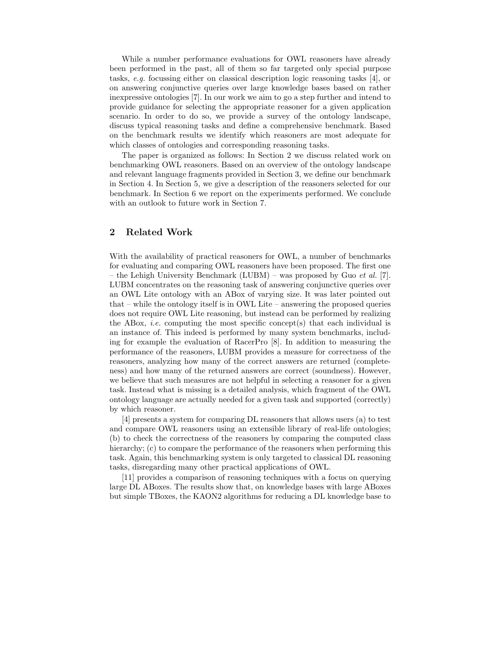While a number performance evaluations for OWL reasoners have already been performed in the past, all of them so far targeted only special purpose tasks, e.g. focussing either on classical description logic reasoning tasks [4], or on answering conjunctive queries over large knowledge bases based on rather inexpressive ontologies [7]. In our work we aim to go a step further and intend to provide guidance for selecting the appropriate reasoner for a given application scenario. In order to do so, we provide a survey of the ontology landscape, discuss typical reasoning tasks and define a comprehensive benchmark. Based on the benchmark results we identify which reasoners are most adequate for which classes of ontologies and corresponding reasoning tasks.

The paper is organized as follows: In Section 2 we discuss related work on benchmarking OWL reasoners. Based on an overview of the ontology landscape and relevant language fragments provided in Section 3, we define our benchmark in Section 4. In Section 5, we give a description of the reasoners selected for our benchmark. In Section 6 we report on the experiments performed. We conclude with an outlook to future work in Section 7.

### 2 Related Work

With the availability of practical reasoners for OWL, a number of benchmarks for evaluating and comparing OWL reasoners have been proposed. The first one – the Lehigh University Benchmark (LUBM) – was proposed by Guo *et al.* [7]. LUBM concentrates on the reasoning task of answering conjunctive queries over an OWL Lite ontology with an ABox of varying size. It was later pointed out that – while the ontology itself is in OWL Lite – answering the proposed queries does not require OWL Lite reasoning, but instead can be performed by realizing the ABox, *i.e.* computing the most specific concept(s) that each individual is an instance of. This indeed is performed by many system benchmarks, including for example the evaluation of RacerPro [8]. In addition to measuring the performance of the reasoners, LUBM provides a measure for correctness of the reasoners, analyzing how many of the correct answers are returned (completeness) and how many of the returned answers are correct (soundness). However, we believe that such measures are not helpful in selecting a reasoner for a given task. Instead what is missing is a detailed analysis, which fragment of the OWL ontology language are actually needed for a given task and supported (correctly) by which reasoner.

[4] presents a system for comparing DL reasoners that allows users (a) to test and compare OWL reasoners using an extensible library of real-life ontologies; (b) to check the correctness of the reasoners by comparing the computed class hierarchy; (c) to compare the performance of the reasoners when performing this task. Again, this benchmarking system is only targeted to classical DL reasoning tasks, disregarding many other practical applications of OWL.

[11] provides a comparison of reasoning techniques with a focus on querying large DL ABoxes. The results show that, on knowledge bases with large ABoxes but simple TBoxes, the KAON2 algorithms for reducing a DL knowledge base to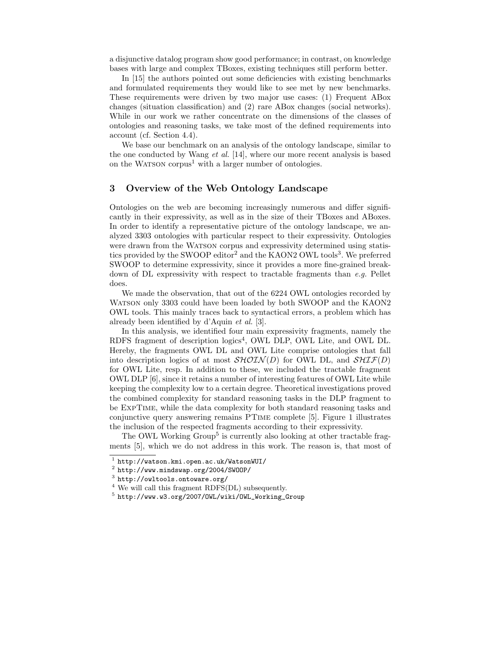a disjunctive datalog program show good performance; in contrast, on knowledge bases with large and complex TBoxes, existing techniques still perform better.

In [15] the authors pointed out some deficiencies with existing benchmarks and formulated requirements they would like to see met by new benchmarks. These requirements were driven by two major use cases: (1) Frequent ABox changes (situation classification) and (2) rare ABox changes (social networks). While in our work we rather concentrate on the dimensions of the classes of ontologies and reasoning tasks, we take most of the defined requirements into account (cf. Section 4.4).

We base our benchmark on an analysis of the ontology landscape, similar to the one conducted by Wang *et al.* [14], where our more recent analysis is based on the WATSON corpus<sup>1</sup> with a larger number of ontologies.

### 3 Overview of the Web Ontology Landscape

Ontologies on the web are becoming increasingly numerous and differ significantly in their expressivity, as well as in the size of their TBoxes and ABoxes. In order to identify a representative picture of the ontology landscape, we analyzed 3303 ontologies with particular respect to their expressivity. Ontologies were drawn from the WATSON corpus and expressivity determined using statistics provided by the SWOOP editor<sup>2</sup> and the KAON2 OWL tools<sup>3</sup>. We preferred SWOOP to determine expressivity, since it provides a more fine-grained breakdown of DL expressivity with respect to tractable fragments than e.g. Pellet does.

We made the observation, that out of the 6224 OWL ontologies recorded by WATSON only 3303 could have been loaded by both SWOOP and the KAON2 OWL tools. This mainly traces back to syntactical errors, a problem which has already been identified by d'Aquin et al. [3].

In this analysis, we identified four main expressivity fragments, namely the RDFS fragment of description logics<sup>4</sup>, OWL DLP, OWL Lite, and OWL DL. Hereby, the fragments OWL DL and OWL Lite comprise ontologies that fall into description logics of at most  $\mathcal{SHOLN}(D)$  for OWL DL, and  $\mathcal{SHIF}(D)$ for OWL Lite, resp. In addition to these, we included the tractable fragment OWL DLP [6], since it retains a number of interesting features of OWL Lite while keeping the complexity low to a certain degree. Theoretical investigations proved the combined complexity for standard reasoning tasks in the DLP fragment to be ExpTime, while the data complexity for both standard reasoning tasks and conjunctive query answering remains PTime complete [5]. Figure 1 illustrates the inclusion of the respected fragments according to their expressivity.

The OWL Working Group<sup>5</sup> is currently also looking at other tractable fragments [5], which we do not address in this work. The reason is, that most of

<sup>1</sup> http://watson.kmi.open.ac.uk/WatsonWUI/

<sup>2</sup> http://www.mindswap.org/2004/SWOOP/

<sup>3</sup> http://owltools.ontoware.org/

<sup>4</sup> We will call this fragment RDFS(DL) subsequently.

<sup>5</sup> http://www.w3.org/2007/OWL/wiki/OWL\_Working\_Group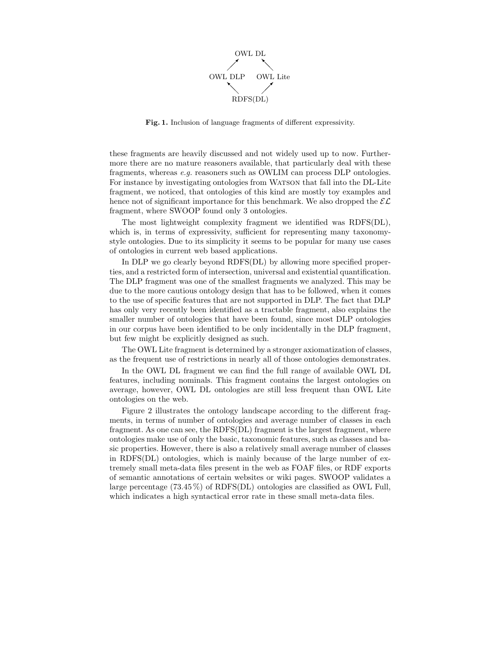

Fig. 1. Inclusion of language fragments of different expressivity.

these fragments are heavily discussed and not widely used up to now. Furthermore there are no mature reasoners available, that particularly deal with these fragments, whereas e.g. reasoners such as OWLIM can process DLP ontologies. For instance by investigating ontologies from WATSON that fall into the DL-Lite fragment, we noticed, that ontologies of this kind are mostly toy examples and hence not of significant importance for this benchmark. We also dropped the  $\mathcal{EL}$ fragment, where SWOOP found only 3 ontologies.

The most lightweight complexity fragment we identified was RDFS(DL), which is, in terms of expressivity, sufficient for representing many taxonomystyle ontologies. Due to its simplicity it seems to be popular for many use cases of ontologies in current web based applications.

In DLP we go clearly beyond RDFS(DL) by allowing more specified properties, and a restricted form of intersection, universal and existential quantification. The DLP fragment was one of the smallest fragments we analyzed. This may be due to the more cautious ontology design that has to be followed, when it comes to the use of specific features that are not supported in DLP. The fact that DLP has only very recently been identified as a tractable fragment, also explains the smaller number of ontologies that have been found, since most DLP ontologies in our corpus have been identified to be only incidentally in the DLP fragment, but few might be explicitly designed as such.

The OWL Lite fragment is determined by a stronger axiomatization of classes, as the frequent use of restrictions in nearly all of those ontologies demonstrates.

In the OWL DL fragment we can find the full range of available OWL DL features, including nominals. This fragment contains the largest ontologies on average, however, OWL DL ontologies are still less frequent than OWL Lite ontologies on the web.

Figure 2 illustrates the ontology landscape according to the different fragments, in terms of number of ontologies and average number of classes in each fragment. As one can see, the RDFS(DL) fragment is the largest fragment, where ontologies make use of only the basic, taxonomic features, such as classes and basic properties. However, there is also a relatively small average number of classes in RDFS(DL) ontologies, which is mainly because of the large number of extremely small meta-data files present in the web as FOAF files, or RDF exports of semantic annotations of certain websites or wiki pages. SWOOP validates a large percentage (73.45 %) of RDFS(DL) ontologies are classified as OWL Full, which indicates a high syntactical error rate in these small meta-data files.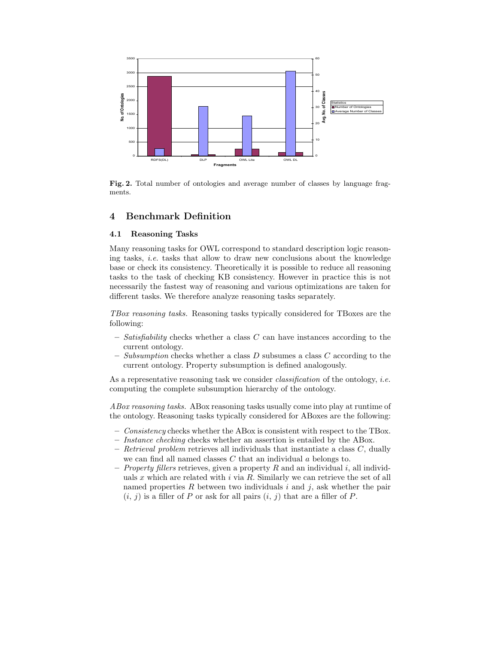

Fig. 2. Total number of ontologies and average number of classes by language fragments.

### 4 Benchmark Definition

#### 4.1 Reasoning Tasks

Many reasoning tasks for OWL correspond to standard description logic reasoning tasks, *i.e.* tasks that allow to draw new conclusions about the knowledge base or check its consistency. Theoretically it is possible to reduce all reasoning tasks to the task of checking KB consistency. However in practice this is not necessarily the fastest way of reasoning and various optimizations are taken for different tasks. We therefore analyze reasoning tasks separately.

TBox reasoning tasks. Reasoning tasks typically considered for TBoxes are the following:

- $-$  Satisfiability checks whether a class C can have instances according to the current ontology.
- Subsumption checks whether a class  $D$  subsumes a class  $C$  according to the current ontology. Property subsumption is defined analogously.

As a representative reasoning task we consider *classification* of the ontology, *i.e.* computing the complete subsumption hierarchy of the ontology.

ABox reasoning tasks. ABox reasoning tasks usually come into play at runtime of the ontology. Reasoning tasks typically considered for ABoxes are the following:

- $-$  Consistency checks whether the ABox is consistent with respect to the TBox.
- Instance checking checks whether an assertion is entailed by the ABox.
- Retrieval problem retrieves all individuals that instantiate a class  $C$ , dually we can find all named classes  $C$  that an individual  $a$  belongs to.
- *Property fillers* retrieves, given a property R and an individual i, all individuals x which are related with  $i$  via R. Similarly we can retrieve the set of all named properties  $R$  between two individuals  $i$  and  $j$ , ask whether the pair  $(i, j)$  is a filler of P or ask for all pairs  $(i, j)$  that are a filler of P.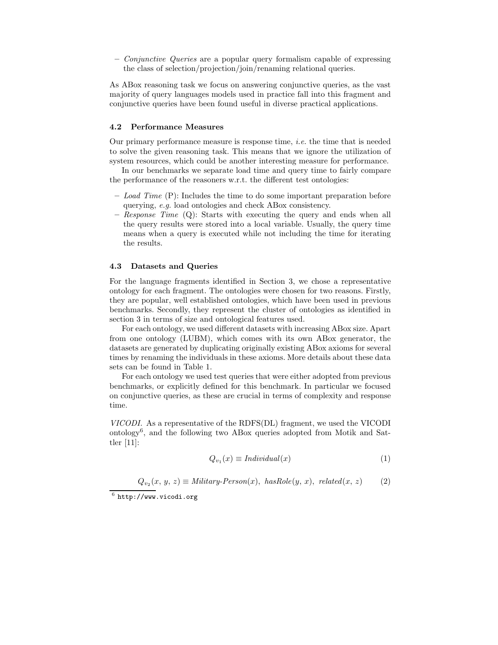$\sim$  Conjunctive Queries are a popular query formalism capable of expressing the class of selection/projection/join/renaming relational queries.

As ABox reasoning task we focus on answering conjunctive queries, as the vast majority of query languages models used in practice fall into this fragment and conjunctive queries have been found useful in diverse practical applications.

#### 4.2 Performance Measures

Our primary performance measure is response time, i.e. the time that is needed to solve the given reasoning task. This means that we ignore the utilization of system resources, which could be another interesting measure for performance.

In our benchmarks we separate load time and query time to fairly compare the performance of the reasoners w.r.t. the different test ontologies:

- $-$  Load Time  $(P)$ : Includes the time to do some important preparation before querying, e.g. load ontologies and check ABox consistency.
- *Response Time*  $(Q)$ : Starts with executing the query and ends when all the query results were stored into a local variable. Usually, the query time means when a query is executed while not including the time for iterating the results.

#### 4.3 Datasets and Queries

For the language fragments identified in Section 3, we chose a representative ontology for each fragment. The ontologies were chosen for two reasons. Firstly, they are popular, well established ontologies, which have been used in previous benchmarks. Secondly, they represent the cluster of ontologies as identified in section 3 in terms of size and ontological features used.

For each ontology, we used different datasets with increasing ABox size. Apart from one ontology (LUBM), which comes with its own ABox generator, the datasets are generated by duplicating originally existing ABox axioms for several times by renaming the individuals in these axioms. More details about these data sets can be found in Table 1.

For each ontology we used test queries that were either adopted from previous benchmarks, or explicitly defined for this benchmark. In particular we focused on conjunctive queries, as these are crucial in terms of complexity and response time.

VICODI. As a representative of the RDFS(DL) fragment, we used the VICODI ontology<sup>6</sup> , and the following two ABox queries adopted from Motik and Sattler [11]:

$$
Q_{v_1}(x) \equiv \text{Individual}(x) \tag{1}
$$

 $Q_{v_2}(x, y, z) \equiv$  Military-Person(x), has Role(y, x), related(x, z) (2)

 $^6$  http://www.vicodi.org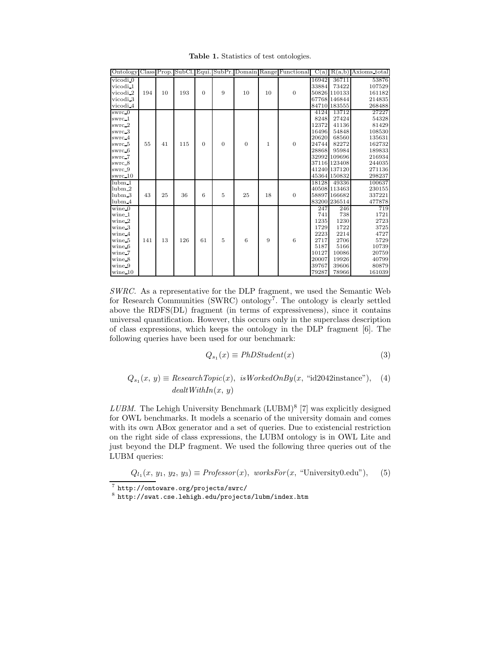Table 1. Statistics of test ontologies.

|                            |     |    |     |          |                |                  |              | Ontology Class Prop. SubCl. Equi. SubPr. Domain Range Functional |       |              | $C(a)$ $R(a,b)$ Axioms total |
|----------------------------|-----|----|-----|----------|----------------|------------------|--------------|------------------------------------------------------------------|-------|--------------|------------------------------|
| vicodi 0                   |     |    |     |          |                |                  |              |                                                                  | 16942 | 36711        | 53876                        |
| vicodi 1                   |     |    |     |          |                |                  |              |                                                                  | 33884 | 73422        | 107529                       |
| vicodi <sub>2</sub>        | 194 | 10 | 193 | $\Omega$ | 9              | 10               | 10           | $\overline{0}$                                                   |       | 50826 110133 | 161182                       |
| vicodi 3                   |     |    |     |          |                |                  |              |                                                                  |       | 67768 146844 | 214835                       |
| vicodi 4                   |     |    |     |          |                |                  |              |                                                                  |       | 84710 183555 | 268488                       |
| $s$ wrc $\theta$           |     |    |     |          |                |                  |              |                                                                  | 4124  | 13712        | 27227                        |
| swrc_1                     |     |    |     |          |                |                  |              |                                                                  | 8248  | 27424        | 54328                        |
| swrc_2                     |     |    |     |          |                |                  |              |                                                                  | 12372 | 41136        | 81429                        |
| swrc 3                     |     |    |     |          |                |                  |              |                                                                  | 16496 | 54848        | 108530                       |
| swrc <sub>4</sub>          |     |    |     |          |                |                  |              |                                                                  | 20620 | 68560        | 135631                       |
| swrc <sub>5</sub>          | 55  | 41 | 115 | $\Omega$ | $\theta$       | $\theta$         | $\mathbf{1}$ | $\overline{0}$                                                   | 24744 | 82272        | 162732                       |
| swrc 6                     |     |    |     |          |                |                  |              |                                                                  | 28868 | 95984        | 189833                       |
| swrc <sub>-7</sub>         |     |    |     |          |                |                  |              |                                                                  |       | 32992 109696 | 216934                       |
| swrc_8                     |     |    |     |          |                |                  |              |                                                                  |       | 37116 123408 | 244035                       |
| swrc_9                     |     |    |     |          |                |                  |              |                                                                  |       | 41240 137120 | 271136                       |
| swrc_10                    |     |    |     |          |                |                  |              |                                                                  |       | 45364 150832 | 298237                       |
| $\overline{\text{lubm}} 1$ |     |    |     |          |                |                  |              |                                                                  | 18128 | 49336        | 100637                       |
| lubm <sub>2</sub>          |     |    |     |          |                |                  |              |                                                                  |       | 40508 113463 | 230155                       |
| lubm <sub>3</sub>          | 43  | 25 | 36  | 6        | $\,$ 5         | 25               | 18           | $\overline{0}$                                                   |       | 58897 166682 | 337221                       |
| lubm <sub>4</sub>          |     |    |     |          |                |                  |              |                                                                  |       | 83200 236514 | 477878                       |
| $wine_0$                   |     |    |     |          |                |                  |              |                                                                  | 247   | 246          | 719                          |
| wine_1                     |     |    |     |          |                |                  |              |                                                                  | 741   | 738          | 1721                         |
| $wine_2$                   |     |    |     |          |                |                  |              |                                                                  | 1235  | 1230         | 2723                         |
| wine 3                     |     |    |     |          |                |                  |              |                                                                  | 1729  | 1722         | 3725                         |
| wine 4                     |     |    |     |          |                |                  |              |                                                                  | 2223  | 2214         | 4727                         |
| wine <sub>5</sub>          | 141 | 13 | 126 | 61       | $\overline{5}$ | $\boldsymbol{6}$ | 9            | 6                                                                | 2717  | 2706         | 5729                         |
| wine 6                     |     |    |     |          |                |                  |              |                                                                  | 5187  | 5166         | 10739                        |
| wine_7                     |     |    |     |          |                |                  |              |                                                                  | 10127 | 10086        | 20759                        |
| wine 8                     |     |    |     |          |                |                  |              |                                                                  | 20007 | 19926        | 40799                        |
| wine 9                     |     |    |     |          |                |                  |              |                                                                  | 39767 | 39606        | 80879                        |
| wine 10                    |     |    |     |          |                |                  |              |                                                                  | 79287 | 78966        | 161039                       |

SWRC. As a representative for the DLP fragment, we used the Semantic Web for Research Communities (SWRC) ontology<sup>7</sup>. The ontology is clearly settled above the RDFS(DL) fragment (in terms of expressiveness), since it contains universal quantification. However, this occurs only in the superclass description of class expressions, which keeps the ontology in the DLP fragment [6]. The following queries have been used for our benchmark:

$$
Q_{s_1}(x) \equiv PhDStudent(x) \tag{3}
$$

$$
Q_{s_1}(x, y) \equiv ResearchTopic(x), isWorkedOnBy(x, "id2042instance"), (4)
$$
  
 
$$
deathWithIn(x, y)
$$

 $LUBM$ . The Lehigh University Benchmark (LUBM)<sup>8</sup> [7] was explicitly designed for OWL benchmarks. It models a scenario of the university domain and comes with its own ABox generator and a set of queries. Due to existencial restriction on the right side of class expressions, the LUBM ontology is in OWL Lite and just beyond the DLP fragment. We used the following three queries out of the LUBM queries:

$$
Q_{l_1}(x, y_1, y_2, y_3) \equiv \text{Professor}(x), \text{ worksFor}(x, \text{``University0.edu''}), \quad (5)
$$

<sup>7</sup> http://ontoware.org/projects/swrc/

<sup>8</sup> http://swat.cse.lehigh.edu/projects/lubm/index.htm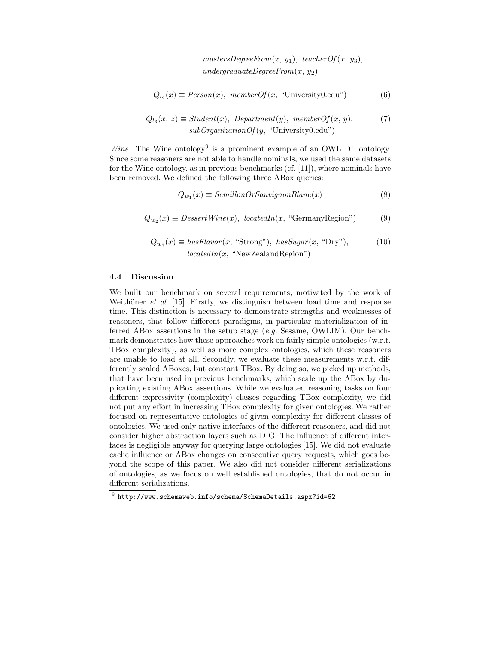$mastersDegreeFrom(x, y<sub>1</sub>), teacherOf(x, y<sub>3</sub>),$ undergraduateDegreeFrom $(x, y_2)$ 

$$
Q_{l_2}(x) \equiv Person(x), \text{ memberOf}(x, \text{``University0.edu''})
$$
 (6)

$$
Q_{l_3}(x, z) \equiv Student(x), Department(y), memberOf(x, y),
$$
  
 
$$
sub OrganizationOf(y, "University0.edu")
$$
 (7)

Wine. The Wine ontology<sup>9</sup> is a prominent example of an OWL DL ontology. Since some reasoners are not able to handle nominals, we used the same datasets for the Wine ontology, as in previous benchmarks (cf. [11]), where nominals have been removed. We defined the following three ABox queries:

$$
Q_{w_1}(x) \equiv \text{SemillonOrSauvignonBlanc}(x) \tag{8}
$$

$$
Q_{w_2}(x) \equiv DessetWine(x), locatedIn(x, "GermanyRegion")
$$
 (9)

$$
Q_{w_3}(x) \equiv \text{hasFlavor}(x, \text{``Strong''}), \text{hasSugar}(x, \text{``Dry''}),
$$
\n
$$
\text{locatedIn}(x, \text{``NewZealandRegion''})
$$
\n(10)

#### 4.4 Discussion

We built our benchmark on several requirements, motivated by the work of Weithöner *et al.* [15]. Firstly, we distinguish between load time and response time. This distinction is necessary to demonstrate strengths and weaknesses of reasoners, that follow different paradigms, in particular materialization of inferred ABox assertions in the setup stage (e.g. Sesame, OWLIM). Our benchmark demonstrates how these approaches work on fairly simple ontologies (w.r.t. TBox complexity), as well as more complex ontologies, which these reasoners are unable to load at all. Secondly, we evaluate these measurements w.r.t. differently scaled ABoxes, but constant TBox. By doing so, we picked up methods, that have been used in previous benchmarks, which scale up the ABox by duplicating existing ABox assertions. While we evaluated reasoning tasks on four different expressivity (complexity) classes regarding TBox complexity, we did not put any effort in increasing TBox complexity for given ontologies. We rather focused on representative ontologies of given complexity for different classes of ontologies. We used only native interfaces of the different reasoners, and did not consider higher abstraction layers such as DIG. The influence of different interfaces is negligible anyway for querying large ontologies [15]. We did not evaluate cache influence or ABox changes on consecutive query requests, which goes beyond the scope of this paper. We also did not consider different serializations of ontologies, as we focus on well established ontologies, that do not occur in different serializations.

 $^9$  http://www.schemaweb.info/schema/SchemaDetails.aspx?id=62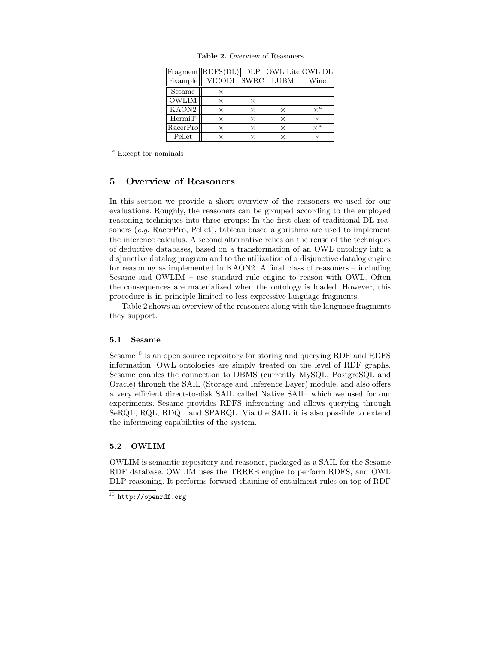|                   | Fragment RDFS(DL) DLP OWL Lite OWL DL |          |          |            |
|-------------------|---------------------------------------|----------|----------|------------|
| Example           | VICODI SWRC                           |          | LUBM     | Wine       |
| Sesame            | ×                                     |          |          |            |
| <b>OWLIM</b>      | $\times$                              | $\times$ |          |            |
| KAON <sub>2</sub> |                                       | ×        | $\times$ | $\times^a$ |
| HermiT            | $\times$                              | $\times$ | $\times$ |            |
| RacerPro          | ×                                     | $\times$ | ×        | $\times^a$ |
| Pellet            |                                       | $\times$ |          |            |

Table 2. Overview of Reasoners

<sup>a</sup> Except for nominals

### 5 Overview of Reasoners

In this section we provide a short overview of the reasoners we used for our evaluations. Roughly, the reasoners can be grouped according to the employed reasoning techniques into three groups: In the first class of traditional DL reasoners (e.g. RacerPro, Pellet), tableau based algorithms are used to implement the inference calculus. A second alternative relies on the reuse of the techniques of deductive databases, based on a transformation of an OWL ontology into a disjunctive datalog program and to the utilization of a disjunctive datalog engine for reasoning as implemented in KAON2. A final class of reasoners – including Sesame and OWLIM – use standard rule engine to reason with OWL. Often the consequences are materialized when the ontology is loaded. However, this procedure is in principle limited to less expressive language fragments.

Table 2 shows an overview of the reasoners along with the language fragments they support.

### 5.1 Sesame

Sesame<sup>10</sup> is an open source repository for storing and querying RDF and RDFS information. OWL ontologies are simply treated on the level of RDF graphs. Sesame enables the connection to DBMS (currently MySQL, PostgreSQL and Oracle) through the SAIL (Storage and Inference Layer) module, and also offers a very efficient direct-to-disk SAIL called Native SAIL, which we used for our experiments. Sesame provides RDFS inferencing and allows querying through SeRQL, RQL, RDQL and SPARQL. Via the SAIL it is also possible to extend the inferencing capabilities of the system.

#### 5.2 OWLIM

OWLIM is semantic repository and reasoner, packaged as a SAIL for the Sesame RDF database. OWLIM uses the TRREE engine to perform RDFS, and OWL DLP reasoning. It performs forward-chaining of entailment rules on top of RDF

 $10$  http://openrdf.org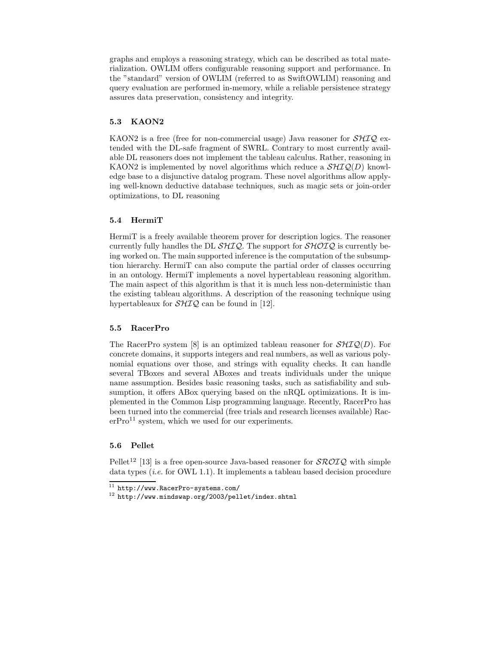graphs and employs a reasoning strategy, which can be described as total materialization. OWLIM offers configurable reasoning support and performance. In the "standard" version of OWLIM (referred to as SwiftOWLIM) reasoning and query evaluation are performed in-memory, while a reliable persistence strategy assures data preservation, consistency and integrity.

### 5.3 KAON2

KAON2 is a free (free for non-commercial usage) Java reasoner for  $\mathcal{SHIQ}$  extended with the DL-safe fragment of SWRL. Contrary to most currently available DL reasoners does not implement the tableau calculus. Rather, reasoning in KAON2 is implemented by novel algorithms which reduce a  $\mathcal{SHIQ}(D)$  knowledge base to a disjunctive datalog program. These novel algorithms allow applying well-known deductive database techniques, such as magic sets or join-order optimizations, to DL reasoning

#### 5.4 HermiT

HermiT is a freely available theorem prover for description logics. The reasoner currently fully handles the DL  $\mathcal{SHIQ}$ . The support for  $\mathcal{SHOLQ}$  is currently being worked on. The main supported inference is the computation of the subsumption hierarchy. HermiT can also compute the partial order of classes occurring in an ontology. HermiT implements a novel hypertableau reasoning algorithm. The main aspect of this algorithm is that it is much less non-deterministic than the existing tableau algorithms. A description of the reasoning technique using hypertableaux for  $\mathcal{SHIQ}$  can be found in [12].

#### 5.5 RacerPro

The RacerPro system [8] is an optimized tableau reasoner for  $\mathcal{SHIQ}(D)$ . For concrete domains, it supports integers and real numbers, as well as various polynomial equations over those, and strings with equality checks. It can handle several TBoxes and several ABoxes and treats individuals under the unique name assumption. Besides basic reasoning tasks, such as satisfiability and subsumption, it offers ABox querying based on the nRQL optimizations. It is implemented in the Common Lisp programming language. Recently, RacerPro has been turned into the commercial (free trials and research licenses available) Rac $erPro<sup>11</sup>$  system, which we used for our experiments.

#### 5.6 Pellet

Pellet<sup>12</sup> [13] is a free open-source Java-based reasoner for  $\mathcal{SROTQ}$  with simple data types  $(i.e.$  for OWL 1.1). It implements a tableau based decision procedure

 $\overline{11}$  http://www.RacerPro-systems.com/

 $12$  http://www.mindswap.org/2003/pellet/index.shtml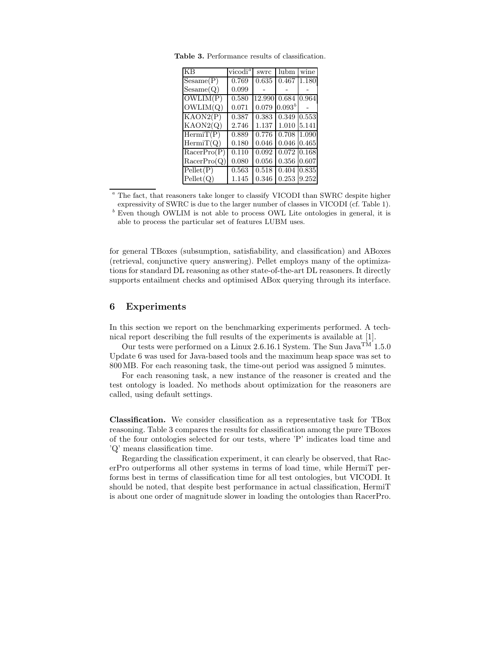| KB          | vicodi <sup><i>a</i></sup> | swrc   | lubm        | wine  |
|-------------|----------------------------|--------|-------------|-------|
| Sesame(P)   | 0.769                      | 0.635  | 0.467       | 1.180 |
| Sesame(Q)   | 0.099                      |        |             |       |
| OWLIM(P)    | 0.580                      | 12.990 | 0.684       | 0.964 |
| OWLIM(Q)    | 0.071                      | 0.079  | $0.093^{b}$ |       |
| KAON2(P)    | 0.387                      | 0.383  | 0.349       | 0.553 |
| KAON2(Q)    | 2.746                      | 1.137  | 1.010       | 5.141 |
| HermiT(P)   | 0.889                      | 0.776  | 0.708       | 1.090 |
| HermiT(Q)   | 0.180                      | 0.046  | 0.046       | 0.465 |
| RacerPro(P) | 0.110                      | 0.092  | 0.072 0.168 |       |
| RacerPro(Q) | 0.080                      | 0.056  | 0.356       | 0.607 |
| Pellet(P)   | 0.563                      | 0.518  | 0.404       | 0.835 |
| Pellet(Q)   | 1.145                      | 0.346  | 0.253       | 9.252 |

Table 3. Performance results of classification.

The fact, that reasoners take longer to classify VICODI than SWRC despite higher expressivity of SWRC is due to the larger number of classes in VICODI (cf. Table 1).

 $\frac{b}{b}$  Even though OWLIM is not able to process OWL Lite ontologies in general, it is able to process the particular set of features LUBM uses.

for general TBoxes (subsumption, satisfiability, and classification) and ABoxes (retrieval, conjunctive query answering). Pellet employs many of the optimizations for standard DL reasoning as other state-of-the-art DL reasoners. It directly supports entailment checks and optimised ABox querying through its interface.

### 6 Experiments

In this section we report on the benchmarking experiments performed. A technical report describing the full results of the experiments is available at [1].

Our tests were performed on a Linux 2.6.16.1 System. The Sun Java<sup>TM</sup> 1.5.0 Update 6 was used for Java-based tools and the maximum heap space was set to 800MB. For each reasoning task, the time-out period was assigned 5 minutes.

For each reasoning task, a new instance of the reasoner is created and the test ontology is loaded. No methods about optimization for the reasoners are called, using default settings.

Classification. We consider classification as a representative task for TBox reasoning. Table 3 compares the results for classification among the pure TBoxes of the four ontologies selected for our tests, where 'P' indicates load time and 'Q' means classification time.

Regarding the classification experiment, it can clearly be observed, that RacerPro outperforms all other systems in terms of load time, while HermiT performs best in terms of classification time for all test ontologies, but VICODI. It should be noted, that despite best performance in actual classification, HermiT is about one order of magnitude slower in loading the ontologies than RacerPro.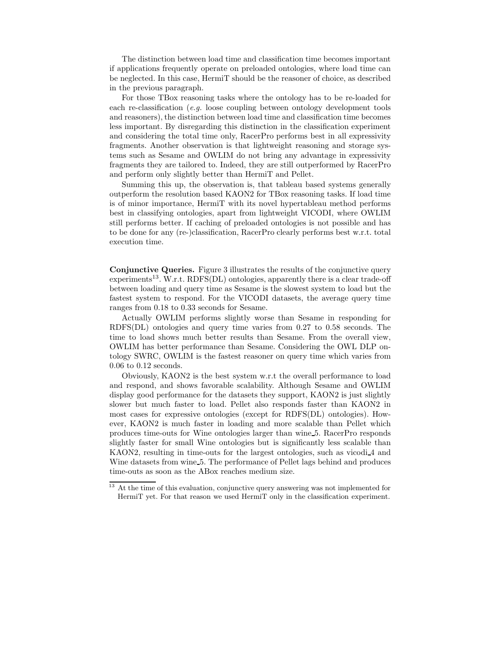The distinction between load time and classification time becomes important if applications frequently operate on preloaded ontologies, where load time can be neglected. In this case, HermiT should be the reasoner of choice, as described in the previous paragraph.

For those TBox reasoning tasks where the ontology has to be re-loaded for each re-classification (e.g. loose coupling between ontology development tools and reasoners), the distinction between load time and classification time becomes less important. By disregarding this distinction in the classification experiment and considering the total time only, RacerPro performs best in all expressivity fragments. Another observation is that lightweight reasoning and storage systems such as Sesame and OWLIM do not bring any advantage in expressivity fragments they are tailored to. Indeed, they are still outperformed by RacerPro and perform only slightly better than HermiT and Pellet.

Summing this up, the observation is, that tableau based systems generally outperform the resolution based KAON2 for TBox reasoning tasks. If load time is of minor importance, HermiT with its novel hypertableau method performs best in classifying ontologies, apart from lightweight VICODI, where OWLIM still performs better. If caching of preloaded ontologies is not possible and has to be done for any (re-)classification, RacerPro clearly performs best w.r.t. total execution time.

Conjunctive Queries. Figure 3 illustrates the results of the conjunctive query  $experiments<sup>13</sup>$ . W.r.t. RDFS(DL) ontologies, apparently there is a clear trade-off between loading and query time as Sesame is the slowest system to load but the fastest system to respond. For the VICODI datasets, the average query time ranges from 0.18 to 0.33 seconds for Sesame.

Actually OWLIM performs slightly worse than Sesame in responding for RDFS(DL) ontologies and query time varies from 0.27 to 0.58 seconds. The time to load shows much better results than Sesame. From the overall view, OWLIM has better performance than Sesame. Considering the OWL DLP ontology SWRC, OWLIM is the fastest reasoner on query time which varies from 0.06 to 0.12 seconds.

Obviously, KAON2 is the best system w.r.t the overall performance to load and respond, and shows favorable scalability. Although Sesame and OWLIM display good performance for the datasets they support, KAON2 is just slightly slower but much faster to load. Pellet also responds faster than KAON2 in most cases for expressive ontologies (except for RDFS(DL) ontologies). However, KAON2 is much faster in loading and more scalable than Pellet which produces time-outs for Wine ontologies larger than wine 5. RacerPro responds slightly faster for small Wine ontologies but is significantly less scalable than KAON2, resulting in time-outs for the largest ontologies, such as vicodi 4 and Wine datasets from wine 5. The performance of Pellet lags behind and produces time-outs as soon as the ABox reaches medium size.

<sup>&</sup>lt;sup>13</sup> At the time of this evaluation, conjunctive query answering was not implemented for HermiT yet. For that reason we used HermiT only in the classification experiment.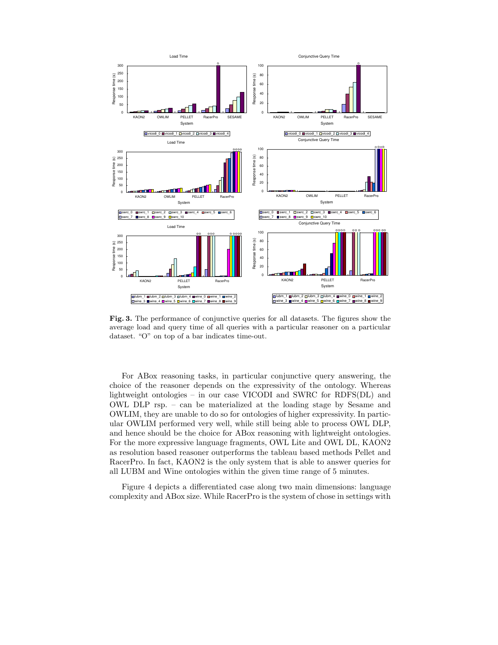

Fig. 3. The performance of conjunctive queries for all datasets. The figures show the average load and query time of all queries with a particular reasoner on a particular dataset. "O" on top of a bar indicates time-out.

For ABox reasoning tasks, in particular conjunctive query answering, the choice of the reasoner depends on the expressivity of the ontology. Whereas lightweight ontologies – in our case VICODI and SWRC for RDFS(DL) and OWL DLP rsp. – can be materialized at the loading stage by Sesame and OWLIM, they are unable to do so for ontologies of higher expressivity. In particular OWLIM performed very well, while still being able to process OWL DLP, and hence should be the choice for ABox reasoning with lightweight ontologies. For the more expressive language fragments, OWL Lite and OWL DL, KAON2 as resolution based reasoner outperforms the tableau based methods Pellet and RacerPro. In fact, KAON2 is the only system that is able to answer queries for all LUBM and Wine ontologies within the given time range of 5 minutes.

Figure 4 depicts a differentiated case along two main dimensions: language complexity and ABox size. While RacerPro is the system of chose in settings with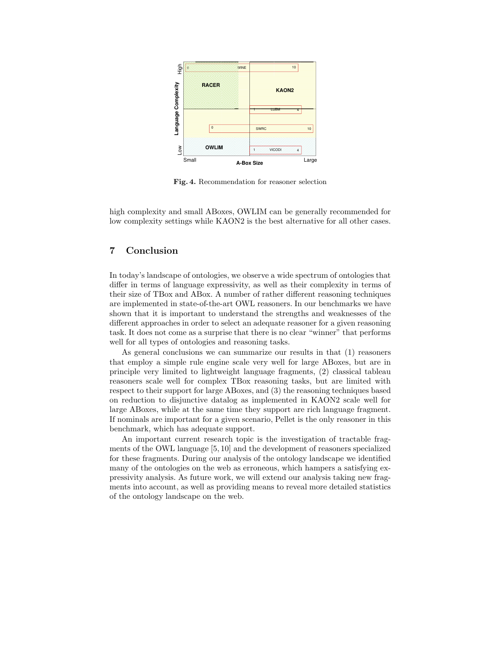

Fig. 4. Recommendation for reasoner selection

high complexity and small ABoxes, OWLIM can be generally recommended for low complexity settings while KAON2 is the best alternative for all other cases.

## 7 Conclusion

In today's landscape of ontologies, we observe a wide spectrum of ontologies that differ in terms of language expressivity, as well as their complexity in terms of their size of TBox and ABox. A number of rather different reasoning techniques are implemented in state-of-the-art OWL reasoners. In our benchmarks we have shown that it is important to understand the strengths and weaknesses of the different approaches in order to select an adequate reasoner for a given reasoning task. It does not come as a surprise that there is no clear "winner" that performs well for all types of ontologies and reasoning tasks.

As general conclusions we can summarize our results in that (1) reasoners that employ a simple rule engine scale very well for large ABoxes, but are in principle very limited to lightweight language fragments, (2) classical tableau reasoners scale well for complex TBox reasoning tasks, but are limited with respect to their support for large ABoxes, and (3) the reasoning techniques based on reduction to disjunctive datalog as implemented in KAON2 scale well for large ABoxes, while at the same time they support are rich language fragment. If nominals are important for a given scenario, Pellet is the only reasoner in this benchmark, which has adequate support.

An important current research topic is the investigation of tractable fragments of the OWL language [5, 10] and the development of reasoners specialized for these fragments. During our analysis of the ontology landscape we identified many of the ontologies on the web as erroneous, which hampers a satisfying expressivity analysis. As future work, we will extend our analysis taking new fragments into account, as well as providing means to reveal more detailed statistics of the ontology landscape on the web.